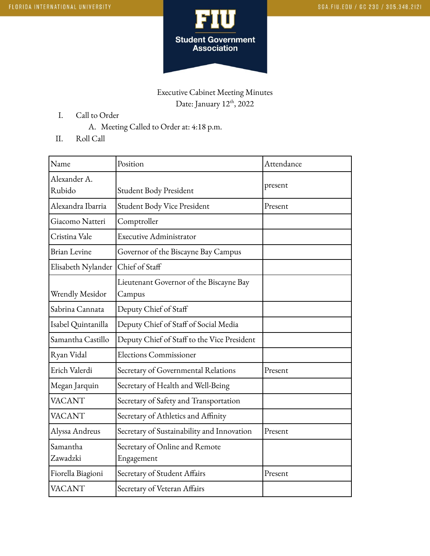

## Executive Cabinet Meeting Minutes Date: January 12<sup>th</sup>, 2022

- I. Call to Order
	- A. Meeting Called to Order at: 4:18 p.m.
- II. Roll Call

| Name                   | Position                                          | Attendance |
|------------------------|---------------------------------------------------|------------|
| Alexander A.<br>Rubido | Student Body President                            | present    |
| Alexandra Ibarria      | Student Body Vice President                       | Present    |
| Giacomo Natteri        | Comptroller                                       |            |
| Cristina Vale          | Executive Administrator                           |            |
| <b>Brian Levine</b>    | Governor of the Biscayne Bay Campus               |            |
| Elisabeth Nylander     | Chief of Staff                                    |            |
| Wrendly Mesidor        | Lieutenant Governor of the Biscayne Bay<br>Campus |            |
| Sabrina Cannata        | Deputy Chief of Staff                             |            |
| Isabel Quintanilla     | Deputy Chief of Staff of Social Media             |            |
| Samantha Castillo      | Deputy Chief of Staff to the Vice President       |            |
| Ryan Vidal             | <b>Elections Commissioner</b>                     |            |
| Erich Valerdi          | Secretary of Governmental Relations               | Present    |
| Megan Jarquin          | Secretary of Health and Well-Being                |            |
| <b>VACANT</b>          | Secretary of Safety and Transportation            |            |
| <b>VACANT</b>          | Secretary of Athletics and Affinity               |            |
| Alyssa Andreus         | Secretary of Sustainability and Innovation        | Present    |
| Samantha<br>Zawadzki   | Secretary of Online and Remote<br>Engagement      |            |
| Fiorella Biagioni      | Secretary of Student Affairs                      | Present    |
| <b>VACANT</b>          | Secretary of Veteran Affairs                      |            |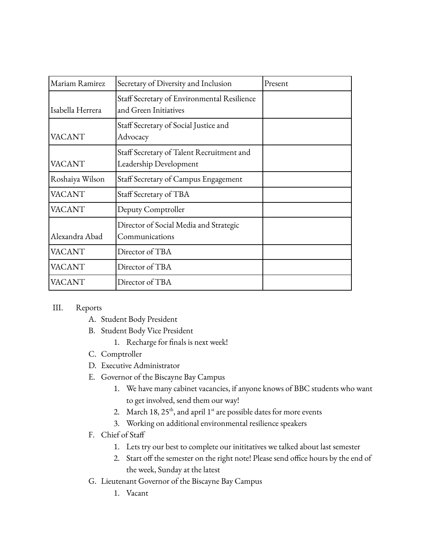| Mariam Ramirez   | Secretary of Diversity and Inclusion                                 | Present |
|------------------|----------------------------------------------------------------------|---------|
| Isabella Herrera | Staff Secretary of Environmental Resilience<br>and Green Initiatives |         |
| <b>VACANT</b>    | Staff Secretary of Social Justice and<br>Advocacy                    |         |
| <b>VACANT</b>    | Staff Secretary of Talent Recruitment and<br>Leadership Development  |         |
| Roshaiya Wilson  | Staff Secretary of Campus Engagement                                 |         |
| <b>VACANT</b>    | Staff Secretary of TBA                                               |         |
| <b>VACANT</b>    | Deputy Comptroller                                                   |         |
| Alexandra Abad   | Director of Social Media and Strategic<br>Communications             |         |
| <b>VACANT</b>    | Director of TBA                                                      |         |
| <b>VACANT</b>    | Director of TBA                                                      |         |
| VACANT           | Director of TBA                                                      |         |

## III. Reports

- A. Student Body President
- B. Student Body Vice President
	- 1. Recharge for finals is next week!
- C. Comptroller
- D. Executive Administrator
- E. Governor of the Biscayne Bay Campus
	- 1. We have many cabinet vacancies, if anyone knows of BBC students who want to get involved, send them our way!
	- 2. March 18,  $25<sup>th</sup>$ , and april 1<sup>st</sup> are possible dates for more events
	- 3. Working on additional environmental resilience speakers
- F. Chief of Staff
	- 1. Lets try our best to complete our inititatives we talked about last semester
	- 2. Start off the semester on the right note! Please send office hours by the end of the week, Sunday at the latest
- G. Lieutenant Governor of the Biscayne Bay Campus
	- 1. Vacant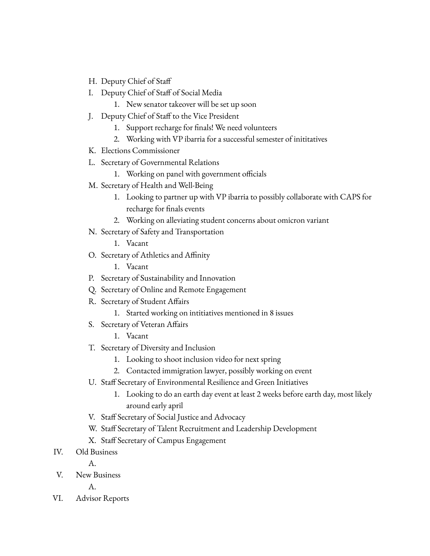- H. Deputy Chief of Staff
- I. Deputy Chief of Staff of Social Media
	- 1. New senator takeover will be set up soon
- J. Deputy Chief of Staff to the Vice President
	- 1. Support recharge for finals! We need volunteers
	- 2. Working with VP ibarria for a successful semester of inititatives
- K. Elections Commissioner
- L. Secretary of Governmental Relations
	- 1. Working on panel with government officials
- M. Secretary of Health and Well-Being
	- 1. Looking to partner up with VP ibarria to possibly collaborate with CAPS for recharge for finals events
	- 2. Working on alleviating student concerns about omicron variant
- N. Secretary of Safety and Transportation
	- 1. Vacant
- O. Secretary of Athletics and Affinity
	- 1. Vacant
- P. Secretary of Sustainability and Innovation
- Q. Secretary of Online and Remote Engagement
- R. Secretary of Student Affairs
	- 1. Started working on intitiatives mentioned in 8 issues
- S. Secretary of Veteran Affairs
	- 1. Vacant
- T. Secretary of Diversity and Inclusion
	- 1. Looking to shoot inclusion video for next spring
	- 2. Contacted immigration lawyer, possibly working on event
- U. Staff Secretary of Environmental Resilience and Green Initiatives
	- 1. Looking to do an earth day event at least 2 weeks before earth day, most likely around early april
- V. Staff Secretary of Social Justice and Advocacy
- W. Staff Secretary of Talent Recruitment and Leadership Development
- X. Staff Secretary of Campus Engagement
- IV. Old Business
	- A.
- V. New Business

A.

VI. Advisor Reports